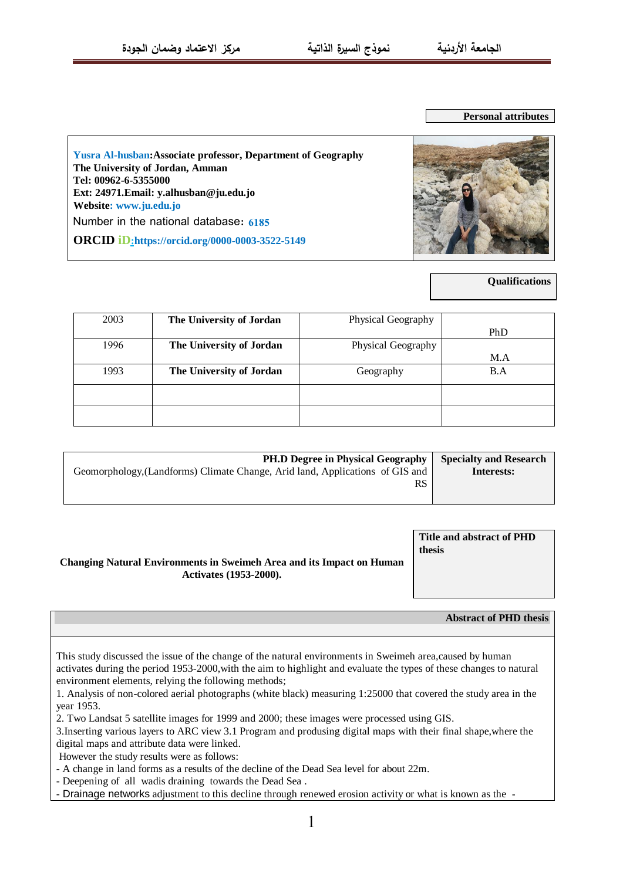**Personal attributes**

**Yusra Al-husban:Associate professor, Department of Geography The University of Jordan, Amman Tel: 00962-6-5355000 Ext: 24971.Email: y.alhusban@ju.edu.jo Website[: www.ju.edu.jo](http://www.ju.edu.jo/)** Number in the national database: **6185 ORCID iD:https://orcid.org/0000-0003-3522-5149**



**Qualifications**

| 2003 | The University of Jordan | Physical Geography |     |
|------|--------------------------|--------------------|-----|
|      |                          |                    | PhD |
| 1996 | The University of Jordan | Physical Geography |     |
|      |                          |                    | M.A |
| 1993 | The University of Jordan | Geography          | B.A |
|      |                          |                    |     |
|      |                          |                    |     |
|      |                          |                    |     |
|      |                          |                    |     |

| <b>PH.D Degree in Physical Geography</b>                                      | <b>Specialty and Research</b> |
|-------------------------------------------------------------------------------|-------------------------------|
| Geomorphology, (Landforms) Climate Change, Arid land, Applications of GIS and | Interests:                    |
| <b>RS</b>                                                                     |                               |
|                                                                               |                               |

|                                                                              | Title and abstract of PHD |
|------------------------------------------------------------------------------|---------------------------|
|                                                                              | thesis                    |
| <b>Changing Natural Environments in Sweimeh Area and its Impact on Human</b> |                           |
| <b>Activates (1953-2000).</b>                                                |                           |
|                                                                              |                           |
|                                                                              |                           |

**Abstract of PHD thesis**

This study discussed the issue of the change of the natural environments in Sweimeh area,caused by human activates during the period 1953-2000,with the aim to highlight and evaluate the types of these changes to natural environment elements, relying the following methods;

1. Analysis of non-colored aerial photographs (white black) measuring 1:25000 that covered the study area in the year 1953.

2. Two Landsat 5 satellite images for 1999 and 2000; these images were processed using GIS.

3.Inserting various layers to ARC view 3.1 Program and produsing digital maps with their final shape,where the digital maps and attribute data were linked.

However the study results were as follows:

- A change in land forms as a results of the decline of the Dead Sea level for about 22m.

- Deepening of all wadis draining towards the Dead Sea .

- Drainage networks adjustment to this decline through renewed erosion activity or what is known as the -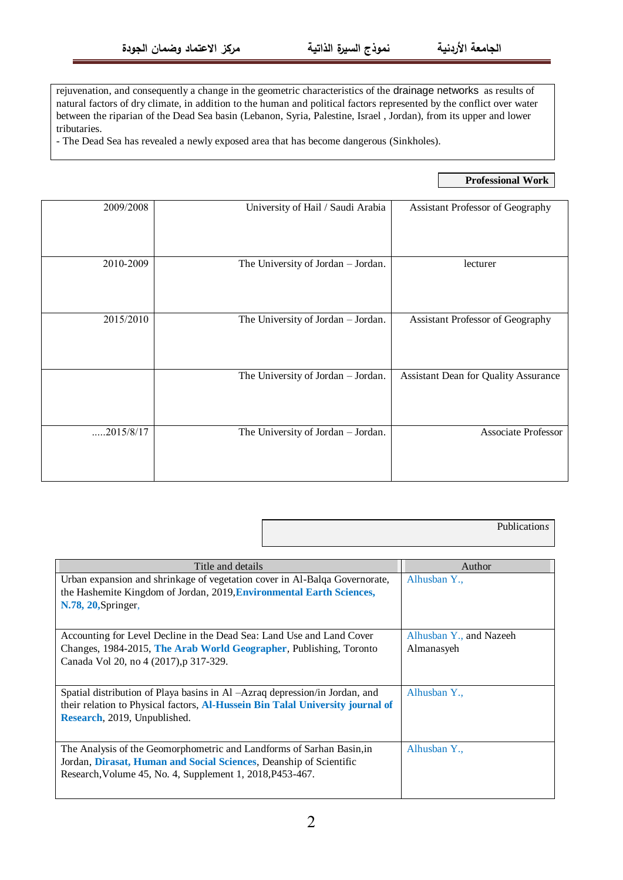rejuvenation, and consequently a change in the geometric characteristics of the drainage networks as results of natural factors of dry climate, in addition to the human and political factors represented by the conflict over water between the riparian of the Dead Sea basin (Lebanon, Syria, Palestine, Israel , Jordan), from its upper and lower tributaries.

- The Dead Sea has revealed a newly exposed area that has become dangerous (Sinkholes).

## **Professional Work**

Publication*s*

| 2009/2008 | University of Hail / Saudi Arabia  | Assistant Professor of Geography            |
|-----------|------------------------------------|---------------------------------------------|
| 2010-2009 | The University of Jordan - Jordan. | lecturer                                    |
| 2015/2010 | The University of Jordan - Jordan. | Assistant Professor of Geography            |
|           | The University of Jordan - Jordan. | <b>Assistant Dean for Quality Assurance</b> |
| 2015/8/17 | The University of Jordan - Jordan. | Associate Professor                         |

| Title and details                                                              | Author                  |
|--------------------------------------------------------------------------------|-------------------------|
| Urban expansion and shrinkage of vegetation cover in Al-Balqa Governorate,     | Alhusban Y.,            |
| the Hashemite Kingdom of Jordan, 2019, Environmental Earth Sciences,           |                         |
| N.78, 20, Springer,                                                            |                         |
|                                                                                |                         |
| Accounting for Level Decline in the Dead Sea: Land Use and Land Cover          | Alhusban Y., and Nazeeh |
| Changes, 1984-2015, The Arab World Geographer, Publishing, Toronto             | Almanasyeh              |
| Canada Vol 20, no 4 (2017), p 317-329.                                         |                         |
|                                                                                |                         |
| Spatial distribution of Playa basins in Al -Azraq depression/in Jordan, and    | Alhusban Y.,            |
| their relation to Physical factors, Al-Hussein Bin Talal University journal of |                         |
| Research, 2019, Unpublished.                                                   |                         |
|                                                                                |                         |
|                                                                                |                         |
| The Analysis of the Geomorphometric and Landforms of Sarhan Basin, in          | Alhusban Y.,            |
| Jordan, Dirasat, Human and Social Sciences, Deanship of Scientific             |                         |
| Research, Volume 45, No. 4, Supplement 1, 2018, P453-467.                      |                         |
|                                                                                |                         |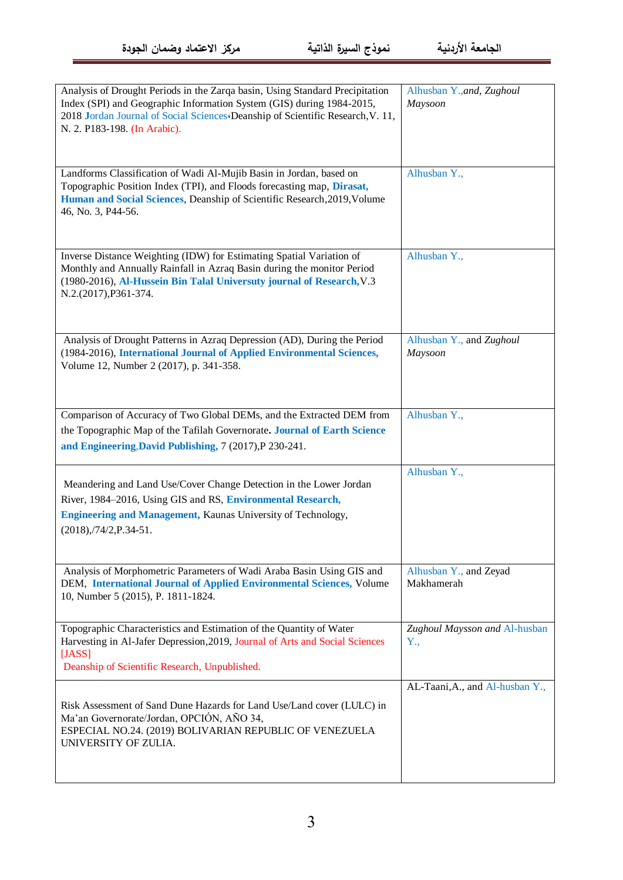| Analysis of Drought Periods in the Zarqa basin, Using Standard Precipitation<br>Index (SPI) and Geographic Information System (GIS) during 1984-2015,<br>2018 Jordan Journal of Social Sciences Deanship of Scientific Research, V. 11,<br>N. 2. P183-198. (In Arabic). | Alhusban Y., and, Zughoul<br>Maysoon |
|-------------------------------------------------------------------------------------------------------------------------------------------------------------------------------------------------------------------------------------------------------------------------|--------------------------------------|
| Landforms Classification of Wadi Al-Mujib Basin in Jordan, based on<br>Topographic Position Index (TPI), and Floods forecasting map, Dirasat,<br>Human and Social Sciences, Deanship of Scientific Research, 2019, Volume<br>46, No. 3, P44-56.                         | Alhusban Y.,                         |
| Inverse Distance Weighting (IDW) for Estimating Spatial Variation of<br>Monthly and Annually Rainfall in Azraq Basin during the monitor Period<br>(1980-2016), Al-Hussein Bin Talal Universuty journal of Research, V.3<br>N.2.(2017), P361-374.                        | Alhusban Y.,                         |
| Analysis of Drought Patterns in Azraq Depression (AD), During the Period<br>(1984-2016), International Journal of Applied Environmental Sciences,<br>Volume 12, Number 2 (2017), p. 341-358.                                                                            | Alhusban Y., and Zughoul<br>Maysoon  |
| Comparison of Accuracy of Two Global DEMs, and the Extracted DEM from<br>the Topographic Map of the Tafilah Governorate. Journal of Earth Science<br>and Engineering, David Publishing, 7 (2017), P 230-241.                                                            | Alhusban Y.,                         |
| Meandering and Land Use/Cover Change Detection in the Lower Jordan<br>River, 1984-2016, Using GIS and RS, Environmental Research,<br><b>Engineering and Management, Kaunas University of Technology,</b><br>$(2018)$ , $/74/2$ , P.34-51.                               | Alhusban Y.,                         |
| Analysis of Morphometric Parameters of Wadi Araba Basin Using GIS and<br>DEM, International Journal of Applied Environmental Sciences, Volume<br>10, Number 5 (2015), P. 1811-1824.                                                                                     | Alhusban Y., and Zeyad<br>Makhamerah |
| Topographic Characteristics and Estimation of the Quantity of Water<br>Harvesting in Al-Jafer Depression, 2019, Journal of Arts and Social Sciences<br>[JASS]<br>Deanship of Scientific Research, Unpublished.                                                          | Zughoul Maysson and Al-husban<br>Y., |
| Risk Assessment of Sand Dune Hazards for Land Use/Land cover (LULC) in<br>Ma'an Governorate/Jordan, OPCIÓN, AÑO 34,<br>ESPECIAL NO.24. (2019) BOLIVARIAN REPUBLIC OF VENEZUELA<br>UNIVERSITY OF ZULIA.                                                                  | AL-Taani, A., and Al-husban Y.,      |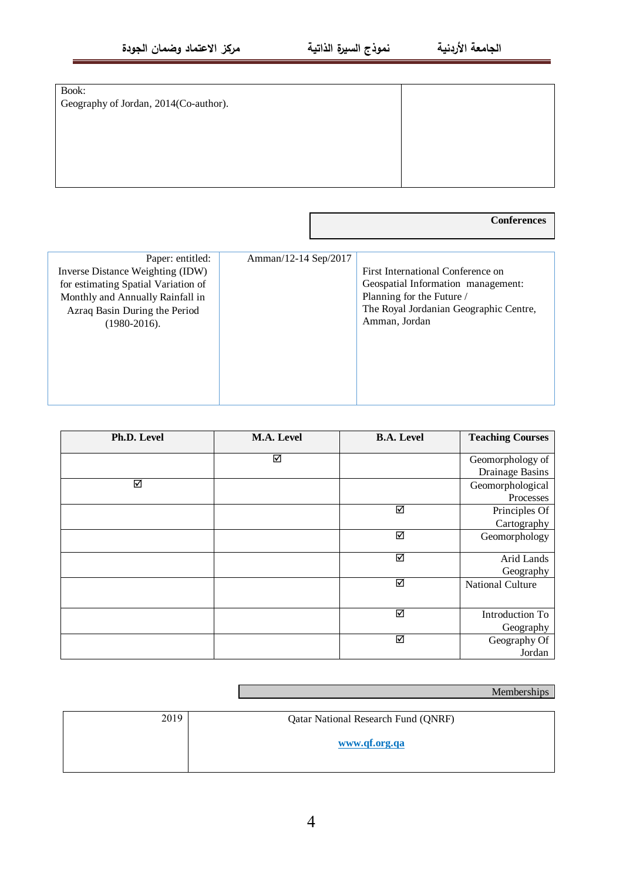| Book:                                 |  |
|---------------------------------------|--|
| Geography of Jordan, 2014(Co-author). |  |
|                                       |  |
|                                       |  |
|                                       |  |
|                                       |  |
|                                       |  |

**Conferences**

| Paper: entitled:<br>Inverse Distance Weighting (IDW)<br>for estimating Spatial Variation of<br>Monthly and Annually Rainfall in<br>Azraq Basin During the Period<br>$(1980 - 2016)$ . | Amman/12-14 Sep/2017 | First International Conference on<br>Geospatial Information management:<br>Planning for the Future /<br>The Royal Jordanian Geographic Centre,<br>Amman, Jordan |
|---------------------------------------------------------------------------------------------------------------------------------------------------------------------------------------|----------------------|-----------------------------------------------------------------------------------------------------------------------------------------------------------------|
|---------------------------------------------------------------------------------------------------------------------------------------------------------------------------------------|----------------------|-----------------------------------------------------------------------------------------------------------------------------------------------------------------|

| Ph.D. Level | M.A. Level | <b>B.A. Level</b>       | <b>Teaching Courses</b> |
|-------------|------------|-------------------------|-------------------------|
|             | ☑          |                         | Geomorphology of        |
|             |            |                         | <b>Drainage Basins</b>  |
| ☑           |            |                         | Geomorphological        |
|             |            |                         | Processes               |
|             |            | ☑                       | Principles Of           |
|             |            |                         | Cartography             |
|             |            | ☑                       | Geomorphology           |
|             |            |                         |                         |
|             |            | $\overline{\mathbf{S}}$ | Arid Lands              |
|             |            |                         | Geography               |
|             |            | ☑                       | <b>National Culture</b> |
|             |            |                         |                         |
|             |            | ☑                       | Introduction To         |
|             |            |                         | Geography               |
|             |            | ☑                       | Geography Of            |
|             |            |                         | Jordan                  |

| Memberships |
|-------------|
|             |

| 2019 | <b>Qatar National Research Fund (QNRF)</b> |
|------|--------------------------------------------|
|      | www.qf.org.qa                              |